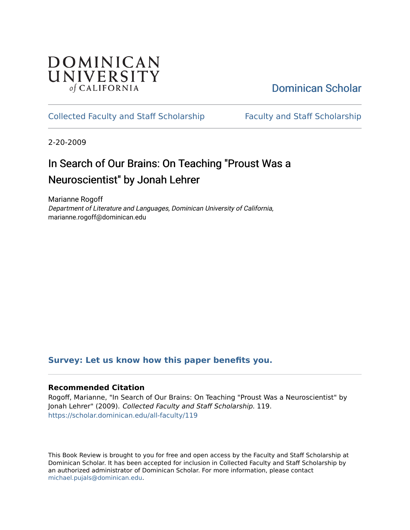## **DOMINICAN** UNIVERSITY of CALIFORNIA

# [Dominican Scholar](https://scholar.dominican.edu/)

## [Collected Faculty and Staff Scholarship](https://scholar.dominican.edu/all-faculty) [Faculty and Staff Scholarship](https://scholar.dominican.edu/faculty-scholarship)

2-20-2009

# In Search of Our Brains: On Teaching "Proust Was a Neuroscientist" by Jonah Lehrer

Marianne Rogoff Department of Literature and Languages, Dominican University of California, marianne.rogoff@dominican.edu

## **[Survey: Let us know how this paper benefits you.](https://dominican.libwizard.com/dominican-scholar-feedback)**

## **Recommended Citation**

Rogoff, Marianne, "In Search of Our Brains: On Teaching "Proust Was a Neuroscientist" by Jonah Lehrer" (2009). Collected Faculty and Staff Scholarship. 119. [https://scholar.dominican.edu/all-faculty/119](https://scholar.dominican.edu/all-faculty/119?utm_source=scholar.dominican.edu%2Fall-faculty%2F119&utm_medium=PDF&utm_campaign=PDFCoverPages) 

This Book Review is brought to you for free and open access by the Faculty and Staff Scholarship at Dominican Scholar. It has been accepted for inclusion in Collected Faculty and Staff Scholarship by an authorized administrator of Dominican Scholar. For more information, please contact [michael.pujals@dominican.edu.](mailto:michael.pujals@dominican.edu)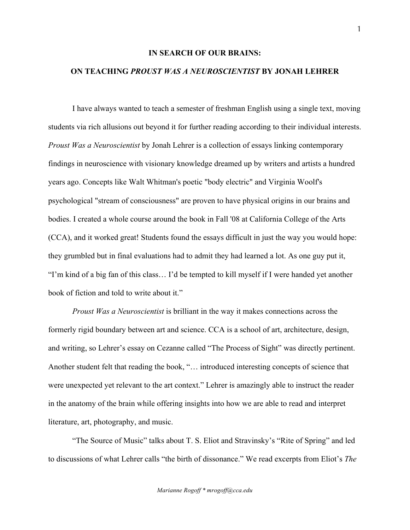#### **IN SEARCH OF OUR BRAINS:**

## **ON TEACHING** *PROUST WAS A NEUROSCIENTIST* **BY JONAH LEHRER**

I have always wanted to teach a semester of freshman English using a single text, moving students via rich allusions out beyond it for further reading according to their individual interests. *Proust Was a Neuroscientist* by Jonah Lehrer is a collection of essays linking contemporary findings in neuroscience with visionary knowledge dreamed up by writers and artists a hundred years ago. Concepts like Walt Whitman's poetic "body electric" and Virginia Woolf's psychological "stream of consciousness" are proven to have physical origins in our brains and bodies. I created a whole course around the book in Fall '08 at California College of the Arts (CCA), and it worked great! Students found the essays difficult in just the way you would hope: they grumbled but in final evaluations had to admit they had learned a lot. As one guy put it, "I'm kind of a big fan of this class… I'd be tempted to kill myself if I were handed yet another book of fiction and told to write about it."

*Proust Was a Neuroscientist* is brilliant in the way it makes connections across the formerly rigid boundary between art and science. CCA is a school of art, architecture, design, and writing, so Lehrer's essay on Cezanne called "The Process of Sight" was directly pertinent. Another student felt that reading the book, "… introduced interesting concepts of science that were unexpected yet relevant to the art context." Lehrer is amazingly able to instruct the reader in the anatomy of the brain while offering insights into how we are able to read and interpret literature, art, photography, and music.

"The Source of Music" talks about T. S. Eliot and Stravinsky's "Rite of Spring" and led to discussions of what Lehrer calls "the birth of dissonance." We read excerpts from Eliot's *The*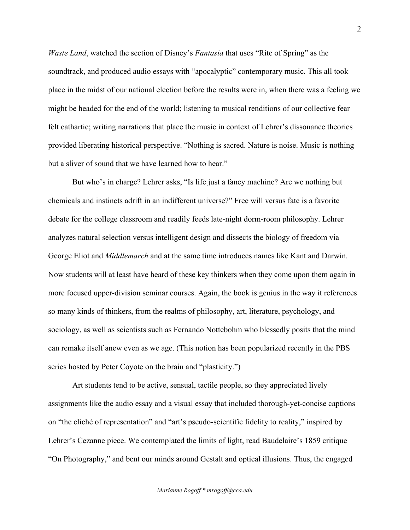*Waste Land*, watched the section of Disney's *Fantasia* that uses "Rite of Spring" as the soundtrack, and produced audio essays with "apocalyptic" contemporary music. This all took place in the midst of our national election before the results were in, when there was a feeling we might be headed for the end of the world; listening to musical renditions of our collective fear felt cathartic; writing narrations that place the music in context of Lehrer's dissonance theories provided liberating historical perspective. "Nothing is sacred. Nature is noise. Music is nothing but a sliver of sound that we have learned how to hear."

But who's in charge? Lehrer asks, "Is life just a fancy machine? Are we nothing but chemicals and instincts adrift in an indifferent universe?" Free will versus fate is a favorite debate for the college classroom and readily feeds late-night dorm-room philosophy. Lehrer analyzes natural selection versus intelligent design and dissects the biology of freedom via George Eliot and *Middlemarch* and at the same time introduces names like Kant and Darwin. Now students will at least have heard of these key thinkers when they come upon them again in more focused upper-division seminar courses. Again, the book is genius in the way it references so many kinds of thinkers, from the realms of philosophy, art, literature, psychology, and sociology, as well as scientists such as Fernando Nottebohm who blessedly posits that the mind can remake itself anew even as we age. (This notion has been popularized recently in the PBS series hosted by Peter Coyote on the brain and "plasticity.")

Art students tend to be active, sensual, tactile people, so they appreciated lively assignments like the audio essay and a visual essay that included thorough-yet-concise captions on "the cliché of representation" and "art's pseudo-scientific fidelity to reality," inspired by Lehrer's Cezanne piece. We contemplated the limits of light, read Baudelaire's 1859 critique "On Photography," and bent our minds around Gestalt and optical illusions. Thus, the engaged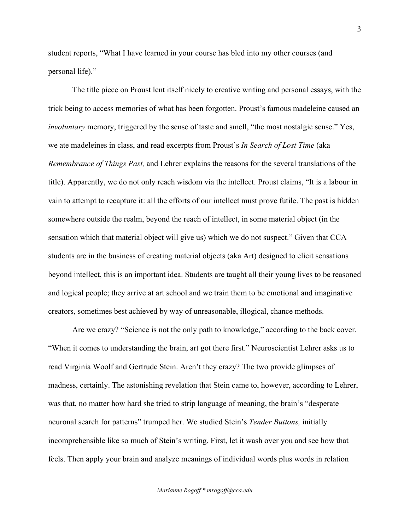student reports, "What I have learned in your course has bled into my other courses (and personal life)."

The title piece on Proust lent itself nicely to creative writing and personal essays, with the trick being to access memories of what has been forgotten. Proust's famous madeleine caused an *involuntary* memory, triggered by the sense of taste and smell, "the most nostalgic sense." Yes, we ate madeleines in class, and read excerpts from Proust's *In Search of Lost Time* (aka *Remembrance of Things Past,* and Lehrer explains the reasons for the several translations of the title). Apparently, we do not only reach wisdom via the intellect. Proust claims, "It is a labour in vain to attempt to recapture it: all the efforts of our intellect must prove futile. The past is hidden somewhere outside the realm, beyond the reach of intellect, in some material object (in the sensation which that material object will give us) which we do not suspect." Given that CCA students are in the business of creating material objects (aka Art) designed to elicit sensations beyond intellect, this is an important idea. Students are taught all their young lives to be reasoned and logical people; they arrive at art school and we train them to be emotional and imaginative creators, sometimes best achieved by way of unreasonable, illogical, chance methods.

Are we crazy? "Science is not the only path to knowledge," according to the back cover. "When it comes to understanding the brain, art got there first." Neuroscientist Lehrer asks us to read Virginia Woolf and Gertrude Stein. Aren't they crazy? The two provide glimpses of madness, certainly. The astonishing revelation that Stein came to, however, according to Lehrer, was that, no matter how hard she tried to strip language of meaning, the brain's "desperate neuronal search for patterns" trumped her. We studied Stein's *Tender Buttons,* initially incomprehensible like so much of Stein's writing. First, let it wash over you and see how that feels. Then apply your brain and analyze meanings of individual words plus words in relation